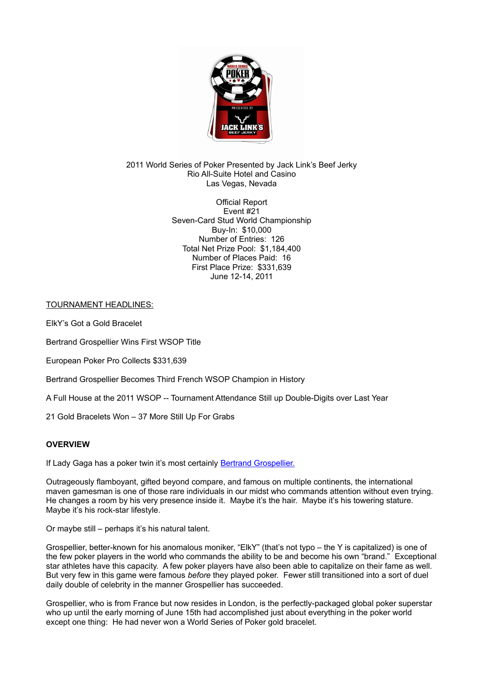

2011 World Series of Poker Presented by Jack Link's Beef Jerky Rio All-Suite Hotel and Casino Las Vegas, Nevada

> Official Report Event #21 Seven-Card Stud World Championship Buy-In: \$10,000 Number of Entries: 126 Total Net Prize Pool: \$1,184,400 Number of Places Paid: 16 First Place Prize: \$331,639 June 12-14, 2011

TOURNAMENT HEADLINES:

ElkY's Got a Gold Bracelet

Bertrand Grospellier Wins First WSOP Title

European Poker Pro Collects \$331,639

Bertrand Grospellier Becomes Third French WSOP Champion in History

A Full House at the 2011 WSOP -- Tournament Attendance Still up Double-Digits over Last Year

21 Gold Bracelets Won – 37 More Still Up For Grabs

## **OVERVIEW**

If Lady Gaga has a poker twin it's most certainly **Bertrand Grospellier.** 

Outrageously flamboyant, gifted beyond compare, and famous on multiple continents, the international maven gamesman is one of those rare individuals in our midst who commands attention without even trying. He changes a room by his very presence inside it. Maybe it's the hair. Maybe it's his towering stature. Maybe it's his rock-star lifestyle.

Or maybe still – perhaps it's his natural talent.

Grospellier, better-known for his anomalous moniker, "ElkY" (that's not typo – the Y is capitalized) is one of the few poker players in the world who commands the ability to be and become his own "brand." Exceptional star athletes have this capacity. A few poker players have also been able to capitalize on their fame as well. But very few in this game were famous *before* they played poker. Fewer still transitioned into a sort of duel daily double of celebrity in the manner Grospellier has succeeded.

Grospellier, who is from France but now resides in London, is the perfectly-packaged global poker superstar who up until the early morning of June 15th had accomplished just about everything in the poker world except one thing: He had never won a World Series of Poker gold bracelet.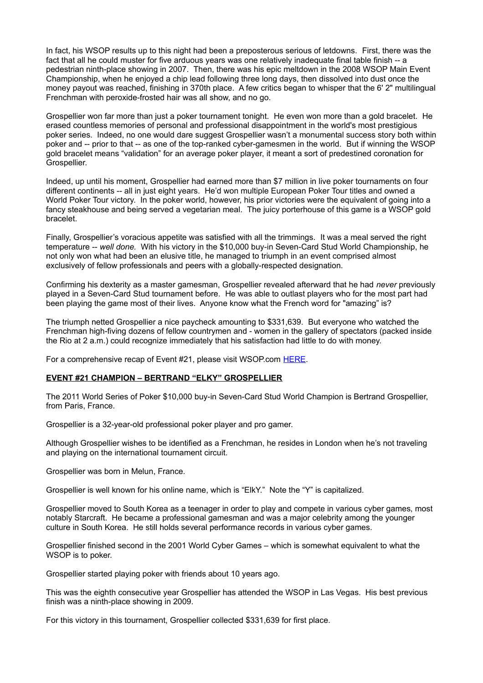In fact, his WSOP results up to this night had been a preposterous serious of letdowns. First, there was the fact that all he could muster for five arduous years was one relatively inadequate final table finish -- a pedestrian ninth-place showing in 2007. Then, there was his epic meltdown in the 2008 WSOP Main Event Championship, when he enjoyed a chip lead following three long days, then dissolved into dust once the money payout was reached, finishing in 370th place. A few critics began to whisper that the 6' 2" multilingual Frenchman with peroxide-frosted hair was all show, and no go.

Grospellier won far more than just a poker tournament tonight. He even won more than a gold bracelet. He erased countless memories of personal and professional disappointment in the world's most prestigious poker series. Indeed, no one would dare suggest Grospellier wasn't a monumental success story both within poker and -- prior to that -- as one of the top-ranked cyber-gamesmen in the world. But if winning the WSOP gold bracelet means "validation" for an average poker player, it meant a sort of predestined coronation for Grospellier.

Indeed, up until his moment, Grospellier had earned more than \$7 million in live poker tournaments on four different continents -- all in just eight years. He'd won multiple European Poker Tour titles and owned a World Poker Tour victory. In the poker world, however, his prior victories were the equivalent of going into a fancy steakhouse and being served a vegetarian meal. The juicy porterhouse of this game is a WSOP gold bracelet.

Finally, Grospellier's voracious appetite was satisfied with all the trimmings. It was a meal served the right temperature -- *well done.* With his victory in the \$10,000 buy-in Seven-Card Stud World Championship, he not only won what had been an elusive title, he managed to triumph in an event comprised almost exclusively of fellow professionals and peers with a globally-respected designation.

Confirming his dexterity as a master gamesman, Grospellier revealed afterward that he had *never* previously played in a Seven-Card Stud tournament before. He was able to outlast players who for the most part had been playing the game most of their lives. Anyone know what the French word for "amazing" is?

The triumph netted Grospellier a nice paycheck amounting to \$331,639. But everyone who watched the Frenchman high-fiving dozens of fellow countrymen and - women in the gallery of spectators (packed inside the Rio at 2 a.m.) could recognize immediately that his satisfaction had little to do with money.

For a comprehensive recap of Event #21, please visit WSOP.com [HERE.](http://www.wsop.com/tournaments/updates.asp?grid=821&tid=11460)

#### **EVENT #21 CHAMPION – BERTRAND "ELKY" GROSPELLIER**

The 2011 World Series of Poker \$10,000 buy-in Seven-Card Stud World Champion is Bertrand Grospellier, from Paris, France.

Grospellier is a 32-year-old professional poker player and pro gamer.

Although Grospellier wishes to be identified as a Frenchman, he resides in London when he's not traveling and playing on the international tournament circuit.

Grospellier was born in Melun, France.

Grospellier is well known for his online name, which is "ElkY." Note the "Y" is capitalized.

Grospellier moved to South Korea as a teenager in order to play and compete in various cyber games, most notably Starcraft. He became a professional gamesman and was a major celebrity among the younger culture in South Korea. He still holds several performance records in various cyber games.

Grospellier finished second in the 2001 World Cyber Games – which is somewhat equivalent to what the WSOP is to poker.

Grospellier started playing poker with friends about 10 years ago.

This was the eighth consecutive year Grospellier has attended the WSOP in Las Vegas. His best previous finish was a ninth-place showing in 2009.

For this victory in this tournament, Grospellier collected \$331,639 for first place.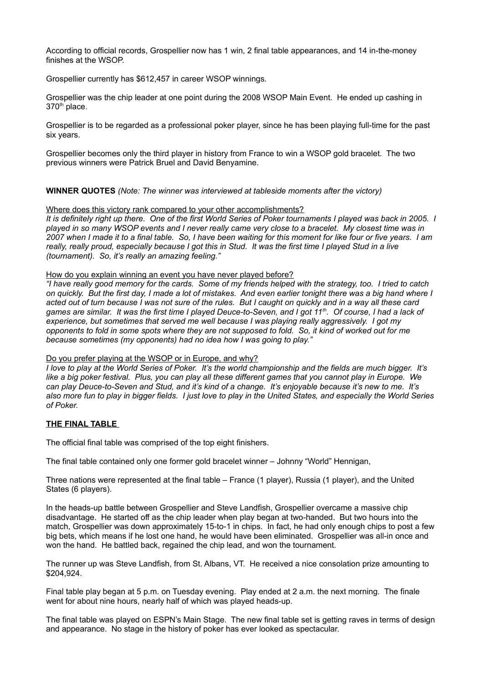According to official records, Grospellier now has 1 win, 2 final table appearances, and 14 in-the-money finishes at the WSOP.

Grospellier currently has \$612,457 in career WSOP winnings.

Grospellier was the chip leader at one point during the 2008 WSOP Main Event. He ended up cashing in 370<sup>th</sup> place.

Grospellier is to be regarded as a professional poker player, since he has been playing full-time for the past six years.

Grospellier becomes only the third player in history from France to win a WSOP gold bracelet. The two previous winners were Patrick Bruel and David Benyamine.

**WINNER QUOTES** *(Note: The winner was interviewed at tableside moments after the victory)*

#### Where does this victory rank compared to your other accomplishments?

*It is definitely right up there. One of the first World Series of Poker tournaments I played was back in 2005. I played in so many WSOP events and I never really came very close to a bracelet. My closest time was in 2007 when I made it to a final table. So, I have been waiting for this moment for like four or five years. I am really, really proud, especially because I got this in Stud. It was the first time I played Stud in a live (tournament). So, it's really an amazing feeling."*

#### How do you explain winning an event you have never played before?

*"I have really good memory for the cards. Some of my friends helped with the strategy, too. I tried to catch on quickly. But the first day, I made a lot of mistakes. And even earlier tonight there was a big hand where I acted out of turn because I was not sure of the rules. But I caught on quickly and in a way all these card games are similar. It was the first time I played Deuce-to-Seven, and I got 11th. Of course, I had a lack of experience, but sometimes that served me well because I was playing really aggressively. I got my opponents to fold in some spots where they are not supposed to fold. So, it kind of worked out for me because sometimes (my opponents) had no idea how I was going to play."* 

#### Do you prefer playing at the WSOP or in Europe, and why?

*I love to play at the World Series of Poker. It's the world championship and the fields are much bigger. It's like a big poker festival. Plus, you can play all these different games that you cannot play in Europe. We can play Deuce-to-Seven and Stud, and it's kind of a change. It's enjoyable because it's new to me. It's also more fun to play in bigger fields. I just love to play in the United States, and especially the World Series of Poker.* 

## **THE FINAL TABLE**

The official final table was comprised of the top eight finishers.

The final table contained only one former gold bracelet winner – Johnny "World" Hennigan,

Three nations were represented at the final table – France (1 player), Russia (1 player), and the United States (6 players).

In the heads-up battle between Grospellier and Steve Landfish, Grospellier overcame a massive chip disadvantage. He started off as the chip leader when play began at two-handed. But two hours into the match, Grospellier was down approximately 15-to-1 in chips. In fact, he had only enough chips to post a few big bets, which means if he lost one hand, he would have been eliminated. Grospellier was all-in once and won the hand. He battled back, regained the chip lead, and won the tournament.

The runner up was Steve Landfish, from St. Albans, VT. He received a nice consolation prize amounting to \$204,924.

Final table play began at 5 p.m. on Tuesday evening. Play ended at 2 a.m. the next morning. The finale went for about nine hours, nearly half of which was played heads-up.

The final table was played on ESPN's Main Stage. The new final table set is getting raves in terms of design and appearance. No stage in the history of poker has ever looked as spectacular.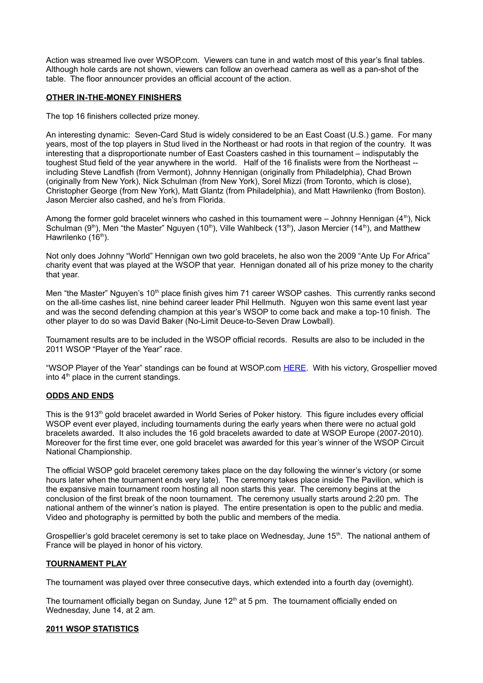Action was streamed live over WSOP.com. Viewers can tune in and watch most of this year's final tables. Although hole cards are not shown, viewers can follow an overhead camera as well as a pan-shot of the table. The floor announcer provides an official account of the action.

## **OTHER IN-THE-MONEY FINISHERS**

The top 16 finishers collected prize money.

An interesting dynamic: Seven-Card Stud is widely considered to be an East Coast (U.S.) game. For many years, most of the top players in Stud lived in the Northeast or had roots in that region of the country. It was interesting that a disproportionate number of East Coasters cashed in this tournament – indisputably the toughest Stud field of the year anywhere in the world. Half of the 16 finalists were from the Northeast - including Steve Landfish (from Vermont), Johnny Hennigan (originally from Philadelphia), Chad Brown (originally from New York), Nick Schulman (from New York), Sorel Mizzi (from Toronto, which is close), Christopher George (from New York), Matt Glantz (from Philadelphia), and Matt Hawrilenko (from Boston). Jason Mercier also cashed, and he's from Florida.

Among the former gold bracelet winners who cashed in this tournament were  $-$  Johnny Hennigan (4<sup>th</sup>), Nick Schulman (9<sup>th</sup>), Men "the Master" Nguyen (10<sup>th</sup>), Ville Wahlbeck (13<sup>th</sup>), Jason Mercier (14<sup>th</sup>), and Matthew Hawrilenko (16<sup>th</sup>).

Not only does Johnny "World" Hennigan own two gold bracelets, he also won the 2009 "Ante Up For Africa" charity event that was played at the WSOP that year. Hennigan donated all of his prize money to the charity that year.

Men "the Master" Nguyen's 10<sup>th</sup> place finish gives him 71 career WSOP cashes. This currently ranks second on the all-time cashes list, nine behind career leader Phil Hellmuth. Nguyen won this same event last year and was the second defending champion at this year's WSOP to come back and make a top-10 finish. The other player to do so was David Baker (No-Limit Deuce-to-Seven Draw Lowball).

Tournament results are to be included in the WSOP official records. Results are also to be included in the 2011 WSOP "Player of the Year" race.

"WSOP Player of the Year" standings can be found at WSOP.com [HERE.](http://www.wsop.com/players/2011.asp) With his victory, Grospellier moved into 4<sup>th</sup> place in the current standings.

## **ODDS AND ENDS**

This is the 913<sup>th</sup> gold bracelet awarded in World Series of Poker history. This figure includes every official WSOP event ever played, including tournaments during the early years when there were no actual gold bracelets awarded. It also includes the 16 gold bracelets awarded to date at WSOP Europe (2007-2010). Moreover for the first time ever, one gold bracelet was awarded for this year's winner of the WSOP Circuit National Championship.

The official WSOP gold bracelet ceremony takes place on the day following the winner's victory (or some hours later when the tournament ends very late). The ceremony takes place inside The Pavilion, which is the expansive main tournament room hosting all noon starts this year. The ceremony begins at the conclusion of the first break of the noon tournament. The ceremony usually starts around 2:20 pm. The national anthem of the winner's nation is played. The entire presentation is open to the public and media. Video and photography is permitted by both the public and members of the media.

Grospellier's gold bracelet ceremony is set to take place on Wednesday, June  $15<sup>th</sup>$ . The national anthem of France will be played in honor of his victory.

## **TOURNAMENT PLAY**

The tournament was played over three consecutive days, which extended into a fourth day (overnight).

The tournament officially began on Sunday, June  $12<sup>th</sup>$  at 5 pm. The tournament officially ended on Wednesday, June 14, at 2 am.

#### **2011 WSOP STATISTICS**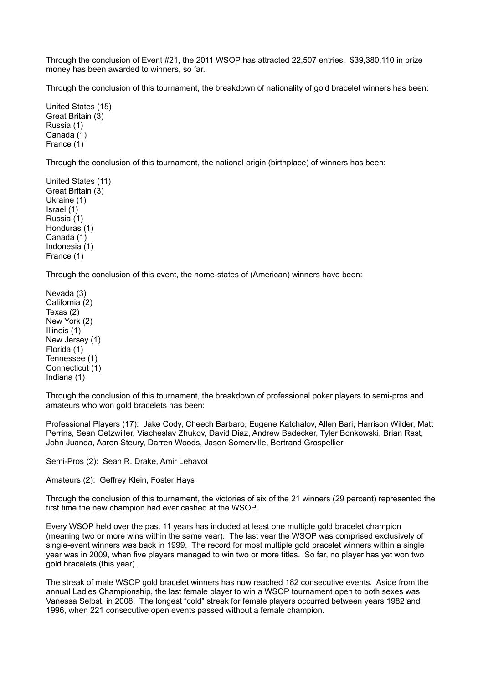Through the conclusion of Event #21, the 2011 WSOP has attracted 22,507 entries. \$39,380,110 in prize money has been awarded to winners, so far.

Through the conclusion of this tournament, the breakdown of nationality of gold bracelet winners has been:

United States (15) Great Britain (3) Russia (1) Canada (1) France (1)

Through the conclusion of this tournament, the national origin (birthplace) of winners has been:

United States (11) Great Britain (3) Ukraine (1) Israel (1) Russia (1) Honduras (1) Canada (1) Indonesia (1) France (1)

Through the conclusion of this event, the home-states of (American) winners have been:

Nevada (3) California (2) Texas (2) New York (2) Illinois (1) New Jersey (1) Florida (1) Tennessee (1) Connecticut (1) Indiana (1)

Through the conclusion of this tournament, the breakdown of professional poker players to semi-pros and amateurs who won gold bracelets has been:

Professional Players (17): Jake Cody, Cheech Barbaro, Eugene Katchalov, Allen Bari, Harrison Wilder, Matt Perrins, Sean Getzwiller, Viacheslav Zhukov, David Diaz, Andrew Badecker, Tyler Bonkowski, Brian Rast, John Juanda, Aaron Steury, Darren Woods, Jason Somerville, Bertrand Grospellier

Semi-Pros (2): Sean R. Drake, Amir Lehavot

Amateurs (2): Geffrey Klein, Foster Hays

Through the conclusion of this tournament, the victories of six of the 21 winners (29 percent) represented the first time the new champion had ever cashed at the WSOP.

Every WSOP held over the past 11 years has included at least one multiple gold bracelet champion (meaning two or more wins within the same year). The last year the WSOP was comprised exclusively of single-event winners was back in 1999. The record for most multiple gold bracelet winners within a single year was in 2009, when five players managed to win two or more titles. So far, no player has yet won two gold bracelets (this year).

The streak of male WSOP gold bracelet winners has now reached 182 consecutive events. Aside from the annual Ladies Championship, the last female player to win a WSOP tournament open to both sexes was Vanessa Selbst, in 2008. The longest "cold" streak for female players occurred between years 1982 and 1996, when 221 consecutive open events passed without a female champion.